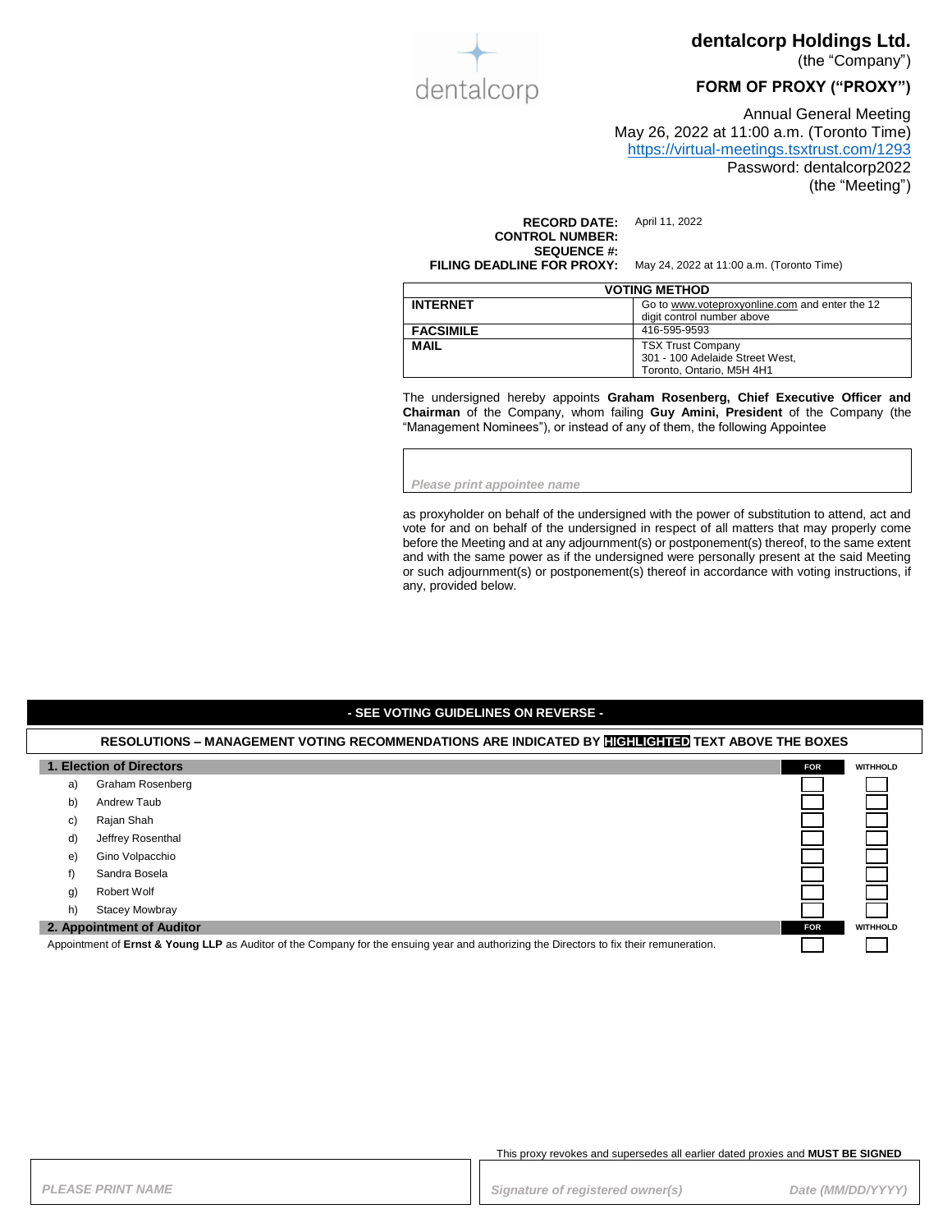

### **dentalcorp Holdings Ltd.**

(the "Company")

### **FORM OF PROXY ("PROXY")**

Annual General Meeting May 26, 2022 at 11:00 a.m. (Toronto Time) <https://virtual-meetings.tsxtrust.com/1293> Password: dentalcorp2022 (the "Meeting")

**RECORD DATE:** April 11, 2022 **CONTROL NUMBER: SEQUENCE #:**

**FILING DEADLINE FOR PROXY:** May 24, 2022 at 11:00 a.m. (Toronto Time)

| <b>VOTING METHOD</b> |                                                |
|----------------------|------------------------------------------------|
| <b>INTERNET</b>      | Go to www.voteproxyonline.com and enter the 12 |
|                      | digit control number above                     |
| <b>FACSIMILE</b>     | 416-595-9593                                   |
| <b>MAIL</b>          | <b>TSX Trust Company</b>                       |
|                      | 301 - 100 Adelaide Street West,                |
|                      | Toronto, Ontario, M5H 4H1                      |

The undersigned hereby appoints **Graham Rosenberg, Chief Executive Officer and Chairman** of the Company, whom failing **Guy Amini, President** of the Company (the "Management Nominees"), or instead of any of them, the following Appointee

*Please print appointee name*

as proxyholder on behalf of the undersigned with the power of substitution to attend, act and vote for and on behalf of the undersigned in respect of all matters that may properly come before the Meeting and at any adjournment(s) or postponement(s) thereof, to the same extent and with the same power as if the undersigned were personally present at the said Meeting or such adjournment(s) or postponement(s) thereof in accordance with voting instructions, if any, provided below.

#### **- SEE VOTING GUIDELINES ON REVERSE -**

### **RESOLUTIONS – MANAGEMENT VOTING RECOMMENDATIONS ARE INDICATED BY HIGHLIGHTED TEXT ABOVE THE BOXES 1. Election of Directors FOR FOR FOR FOR FOR FOR FOR FOR FOR FOR FOR FOR FOR FOR FOR** a) Graham Rosenberg b) Andrew Taub c) Rajan Shah d) Jeffrey Rosenthal e) Gino Volpacchio f) Sandra Bosela g) Robert Wolf h) Stacey Mowbray **2. Appointment of Auditor FOR WITHHOLD** Appointment of **Ernst & Young LLP** as Auditor of the Company for the ensuing year and authorizing the Directors to fix their remuneration.

This proxy revokes and supersedes all earlier dated proxies and **MUST BE SIGNED**